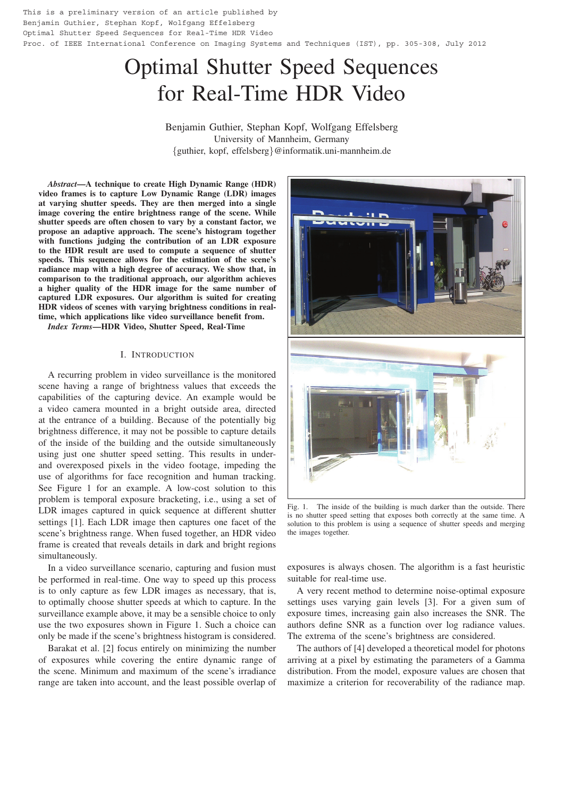This is a preliminary version of an article published by Benjamin Guthier, Stephan Kopf, Wolfgang Effelsberg Optimal Shutter Speed Sequences for Real-Time HDR Video Proc. of IEEE International Conference on Imaging Systems and Techniques (IST), pp. 305-308, July 2012

# Optimal Shutter Speed Sequences for Real-Time HDR Video

Benjamin Guthier, Stephan Kopf, Wolfgang Effelsberg University of Mannheim, Germany {guthier, kopf, effelsberg}@informatik.uni-mannheim.de

*Abstract*—A technique to create High Dynamic Range (HDR) video frames is to capture Low Dynamic Range (LDR) images at varying shutter speeds. They are then merged into a single image covering the entire brightness range of the scene. While shutter speeds are often chosen to vary by a constant factor, we propose an adaptive approach. The scene's histogram together with functions judging the contribution of an LDR exposure to the HDR result are used to compute a sequence of shutter speeds. This sequence allows for the estimation of the scene's radiance map with a high degree of accuracy. We show that, in comparison to the traditional approach, our algorithm achieves a higher quality of the HDR image for the same number of captured LDR exposures. Our algorithm is suited for creating HDR videos of scenes with varying brightness conditions in realtime, which applications like video surveillance benefit from.

*Index Terms*—HDR Video, Shutter Speed, Real-Time

#### I. INTRODUCTION

A recurring problem in video surveillance is the monitored scene having a range of brightness values that exceeds the capabilities of the capturing device. An example would be a video camera mounted in a bright outside area, directed at the entrance of a building. Because of the potentially big brightness difference, it may not be possible to capture details of the inside of the building and the outside simultaneously using just one shutter speed setting. This results in underand overexposed pixels in the video footage, impeding the use of algorithms for face recognition and human tracking. See Figure 1 for an example. A low-cost solution to this problem is temporal exposure bracketing, i.e., using a set of LDR images captured in quick sequence at different shutter settings [1]. Each LDR image then captures one facet of the scene's brightness range. When fused together, an HDR video frame is created that reveals details in dark and bright regions simultaneously.

In a video surveillance scenario, capturing and fusion must be performed in real-time. One way to speed up this process is to only capture as few LDR images as necessary, that is, to optimally choose shutter speeds at which to capture. In the surveillance example above, it may be a sensible choice to only use the two exposures shown in Figure 1. Such a choice can only be made if the scene's brightness histogram is considered.

Barakat et al. [2] focus entirely on minimizing the number of exposures while covering the entire dynamic range of the scene. Minimum and maximum of the scene's irradiance range are taken into account, and the least possible overlap of



Fig. 1. The inside of the building is much darker than the outside. There is no shutter speed setting that exposes both correctly at the same time. A solution to this problem is using a sequence of shutter speeds and merging the images together.

exposures is always chosen. The algorithm is a fast heuristic suitable for real-time use.

A very recent method to determine noise-optimal exposure settings uses varying gain levels [3]. For a given sum of exposure times, increasing gain also increases the SNR. The authors define SNR as a function over log radiance values. The extrema of the scene's brightness are considered.

The authors of [4] developed a theoretical model for photons arriving at a pixel by estimating the parameters of a Gamma distribution. From the model, exposure values are chosen that maximize a criterion for recoverability of the radiance map.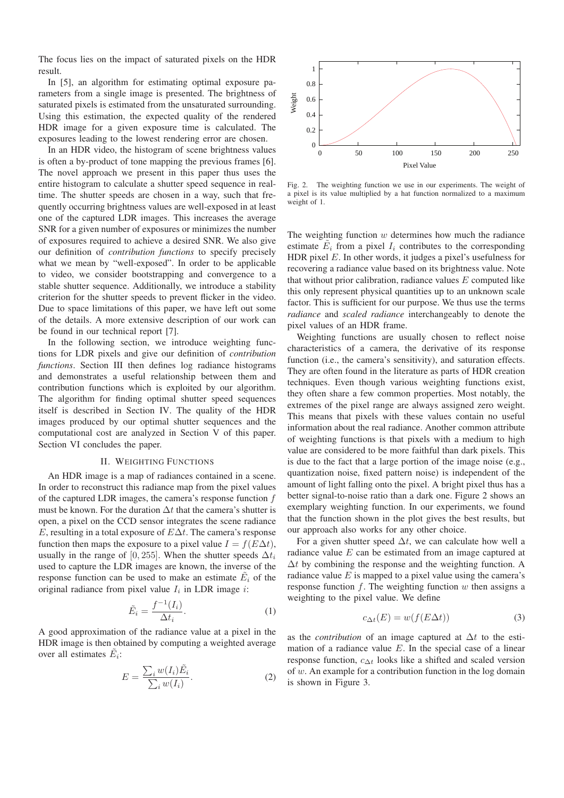The focus lies on the impact of saturated pixels on the HDR result.

In [5], an algorithm for estimating optimal exposure parameters from a single image is presented. The brightness of saturated pixels is estimated from the unsaturated surrounding. Using this estimation, the expected quality of the rendered HDR image for a given exposure time is calculated. The exposures leading to the lowest rendering error are chosen.

In an HDR video, the histogram of scene brightness values is often a by-product of tone mapping the previous frames [6]. The novel approach we present in this paper thus uses the entire histogram to calculate a shutter speed sequence in realtime. The shutter speeds are chosen in a way, such that frequently occurring brightness values are well-exposed in at least one of the captured LDR images. This increases the average SNR for a given number of exposures or minimizes the number of exposures required to achieve a desired SNR. We also give our definition of *contribution functions* to specify precisely what we mean by "well-exposed". In order to be applicable to video, we consider bootstrapping and convergence to a stable shutter sequence. Additionally, we introduce a stability criterion for the shutter speeds to prevent flicker in the video. Due to space limitations of this paper, we have left out some of the details. A more extensive description of our work can be found in our technical report [7].

In the following section, we introduce weighting functions for LDR pixels and give our definition of *contribution functions*. Section III then defines log radiance histograms and demonstrates a useful relationship between them and contribution functions which is exploited by our algorithm. The algorithm for finding optimal shutter speed sequences itself is described in Section IV. The quality of the HDR images produced by our optimal shutter sequences and the computational cost are analyzed in Section V of this paper. Section VI concludes the paper.

#### II. WEIGHTING FUNCTIONS

An HDR image is a map of radiances contained in a scene. In order to reconstruct this radiance map from the pixel values of the captured LDR images, the camera's response function f must be known. For the duration  $\Delta t$  that the camera's shutter is open, a pixel on the CCD sensor integrates the scene radiance E, resulting in a total exposure of  $E\Delta t$ . The camera's response function then maps the exposure to a pixel value  $I = f(E\Delta t)$ , usually in the range of [0, 255]. When the shutter speeds  $\Delta t_i$ used to capture the LDR images are known, the inverse of the response function can be used to make an estimate  $E_i$  of the original radiance from pixel value  $I_i$  in LDR image  $i$ :

$$
\tilde{E}_i = \frac{f^{-1}(I_i)}{\Delta t_i}.
$$
\n(1)

A good approximation of the radiance value at a pixel in the HDR image is then obtained by computing a weighted average over all estimates  $E_i$ :

$$
E = \frac{\sum_{i} w(I_i) \tilde{E}_i}{\sum_{i} w(I_i)}.
$$
 (2)



Fig. 2. The weighting function we use in our experiments. The weight of a pixel is its value multiplied by a hat function normalized to a maximum weight of 1.

The weighting function  $w$  determines how much the radiance estimate  $E_i$  from a pixel  $I_i$  contributes to the corresponding HDR pixel  $E$ . In other words, it judges a pixel's usefulness for recovering a radiance value based on its brightness value. Note that without prior calibration, radiance values  $E$  computed like this only represent physical quantities up to an unknown scale factor. This is sufficient for our purpose. We thus use the terms *radiance* and *scaled radiance* interchangeably to denote the pixel values of an HDR frame.

Weighting functions are usually chosen to reflect noise characteristics of a camera, the derivative of its response function (i.e., the camera's sensitivity), and saturation effects. They are often found in the literature as parts of HDR creation techniques. Even though various weighting functions exist, they often share a few common properties. Most notably, the extremes of the pixel range are always assigned zero weight. This means that pixels with these values contain no useful information about the real radiance. Another common attribute of weighting functions is that pixels with a medium to high value are considered to be more faithful than dark pixels. This is due to the fact that a large portion of the image noise (e.g., quantization noise, fixed pattern noise) is independent of the amount of light falling onto the pixel. A bright pixel thus has a better signal-to-noise ratio than a dark one. Figure 2 shows an exemplary weighting function. In our experiments, we found that the function shown in the plot gives the best results, but our approach also works for any other choice.

For a given shutter speed  $\Delta t$ , we can calculate how well a radiance value  $E$  can be estimated from an image captured at  $\Delta t$  by combining the response and the weighting function. A radiance value  $E$  is mapped to a pixel value using the camera's response function f. The weighting function  $w$  then assigns a weighting to the pixel value. We define

$$
c_{\Delta t}(E) = w(f(E\Delta t))\tag{3}
$$

as the *contribution* of an image captured at  $\Delta t$  to the estimation of a radiance value  $E$ . In the special case of a linear response function,  $c_{\Delta t}$  looks like a shifted and scaled version of  $w$ . An example for a contribution function in the log domain is shown in Figure 3.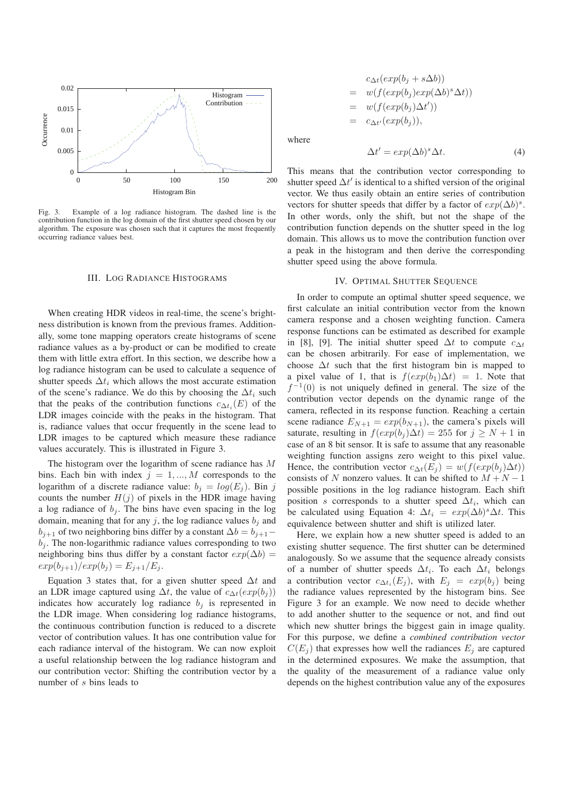

Fig. 3. Example of a log radiance histogram. The dashed line is the contribution function in the log domain of the first shutter speed chosen by our algorithm. The exposure was chosen such that it captures the most frequently occurring radiance values best.

#### III. LOG RADIANCE HISTOGRAMS

When creating HDR videos in real-time, the scene's brightness distribution is known from the previous frames. Additionally, some tone mapping operators create histograms of scene radiance values as a by-product or can be modified to create them with little extra effort. In this section, we describe how a log radiance histogram can be used to calculate a sequence of shutter speeds  $\Delta t_i$  which allows the most accurate estimation of the scene's radiance. We do this by choosing the  $\Delta t_i$  such that the peaks of the contribution functions  $c_{\Delta t_i}(E)$  of the LDR images coincide with the peaks in the histogram. That is, radiance values that occur frequently in the scene lead to LDR images to be captured which measure these radiance values accurately. This is illustrated in Figure 3.

The histogram over the logarithm of scene radiance has M bins. Each bin with index  $j = 1, ..., M$  corresponds to the logarithm of a discrete radiance value:  $b_j = log(E_j)$ . Bin j counts the number  $H(j)$  of pixels in the HDR image having a log radiance of  $b_j$ . The bins have even spacing in the log domain, meaning that for any j, the log radiance values  $b_i$  and  $b_{j+1}$  of two neighboring bins differ by a constant  $\Delta b = b_{j+1}$  –  $b_j$ . The non-logarithmic radiance values corresponding to two neighboring bins thus differ by a constant factor  $exp(\Delta b)$  =  $exp(b_{j+1})/exp(b_j) = E_{j+1}/E_j.$ 

Equation 3 states that, for a given shutter speed  $\Delta t$  and an LDR image captured using  $\Delta t$ , the value of  $c_{\Delta t}(exp(b_i))$ indicates how accurately log radiance  $b_i$  is represented in the LDR image. When considering log radiance histograms, the continuous contribution function is reduced to a discrete vector of contribution values. It has one contribution value for each radiance interval of the histogram. We can now exploit a useful relationship between the log radiance histogram and our contribution vector: Shifting the contribution vector by a number of s bins leads to

$$
c_{\Delta t}(exp(b_j + s\Delta b))
$$
  
= 
$$
w(f(exp(b_j)exp(\Delta b)^s \Delta t))
$$
  
= 
$$
w(f(exp(b_j)\Delta t'))
$$
  
= 
$$
c_{\Delta t'}(exp(b_j)),
$$

where

$$
\Delta t' = \exp(\Delta b)^s \Delta t. \tag{4}
$$

This means that the contribution vector corresponding to shutter speed  $\Delta t'$  is identical to a shifted version of the original<br>vector. We thus easily obtain an entire series of contribution vector. We thus easily obtain an entire series of contribution vectors for shutter speeds that differ by a factor of  $exp(\Delta b)^s$ . In other words, only the shift, but not the shape of the contribution function depends on the shutter speed in the log domain. This allows us to move the contribution function over a peak in the histogram and then derive the corresponding shutter speed using the above formula.

#### IV. OPTIMAL SHUTTER SEQUENCE

In order to compute an optimal shutter speed sequence, we first calculate an initial contribution vector from the known camera response and a chosen weighting function. Camera response functions can be estimated as described for example in [8], [9]. The initial shutter speed  $\Delta t$  to compute  $c_{\Delta t}$ can be chosen arbitrarily. For ease of implementation, we choose  $\Delta t$  such that the first histogram bin is mapped to a pixel value of 1, that is  $f(exp(b_1)\Delta t) = 1$ . Note that  $f^{-1}(0)$  is not uniquely defined in general. The size of the contribution vector depends on the dynamic range of the camera, reflected in its response function. Reaching a certain scene radiance  $E_{N+1} = exp(b_{N+1})$ , the camera's pixels will saturate, resulting in  $f(exp(b_i)\Delta t) = 255$  for  $j \ge N+1$  in case of an 8 bit sensor. It is safe to assume that any reasonable weighting function assigns zero weight to this pixel value. Hence, the contribution vector  $c_{\Delta t}(E_i) = w(f(exp(b_i)\Delta t))$ consists of N nonzero values. It can be shifted to  $M + N - 1$ possible positions in the log radiance histogram. Each shift position s corresponds to a shutter speed  $\Delta t_i$ , which can be calculated using Equation 4:  $\Delta t_i = exp(\Delta b)^s \Delta t$ . This equivalence between shutter and shift is utilized later.

Here, we explain how a new shutter speed is added to an existing shutter sequence. The first shutter can be determined analogously. So we assume that the sequence already consists of a number of shutter speeds  $\Delta t_i$ . To each  $\Delta t_i$  belongs a contribution vector  $c_{\Delta t_i}(E_j)$ , with  $E_j = exp(b_j)$  being the radiance values represented by the histogram bins. See Figure 3 for an example. We now need to decide whether to add another shutter to the sequence or not, and find out which new shutter brings the biggest gain in image quality. For this purpose, we define a *combined contribution vector*  $C(E_i)$  that expresses how well the radiances  $E_i$  are captured in the determined exposures. We make the assumption, that the quality of the measurement of a radiance value only depends on the highest contribution value any of the exposures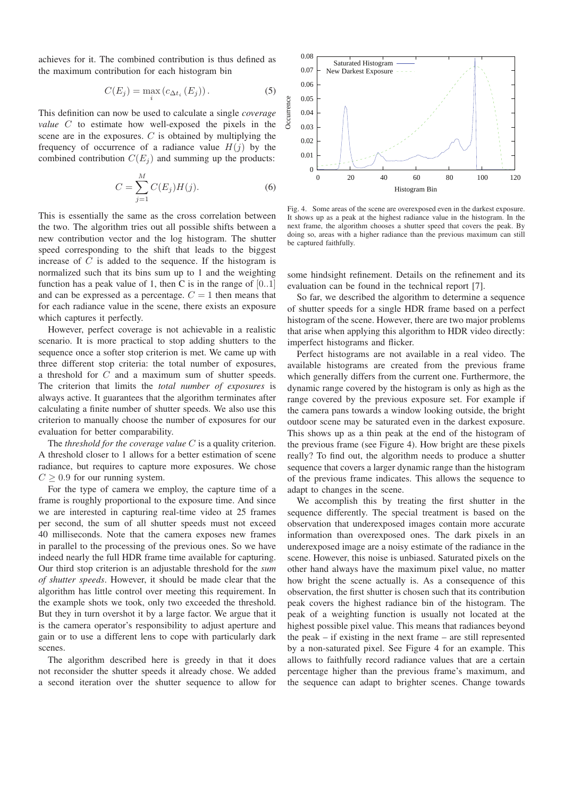achieves for it. The combined contribution is thus defined as the maximum contribution for each histogram bin

$$
C(E_j) = \max_i (c_{\Delta t_i} (E_j)).
$$
 (5)

This definition can now be used to calculate a single *coverage value* C to estimate how well-exposed the pixels in the scene are in the exposures.  $C$  is obtained by multiplying the frequency of occurrence of a radiance value  $H(j)$  by the combined contribution  $C(E_i)$  and summing up the products:

$$
C = \sum_{j=1}^{M} C(E_j) H(j).
$$
 (6)

This is essentially the same as the cross correlation between the two. The algorithm tries out all possible shifts between a new contribution vector and the log histogram. The shutter speed corresponding to the shift that leads to the biggest increase of  $C$  is added to the sequence. If the histogram is normalized such that its bins sum up to 1 and the weighting function has a peak value of 1, then C is in the range of  $[0..1]$ and can be expressed as a percentage.  $C = 1$  then means that for each radiance value in the scene, there exists an exposure which captures it perfectly.

However, perfect coverage is not achievable in a realistic scenario. It is more practical to stop adding shutters to the sequence once a softer stop criterion is met. We came up with three different stop criteria: the total number of exposures, a threshold for C and a maximum sum of shutter speeds. The criterion that limits the *total number of exposures* is always active. It guarantees that the algorithm terminates after calculating a finite number of shutter speeds. We also use this criterion to manually choose the number of exposures for our evaluation for better comparability.

The *threshold for the coverage value* C is a quality criterion. A threshold closer to 1 allows for a better estimation of scene radiance, but requires to capture more exposures. We chose  $C > 0.9$  for our running system.

For the type of camera we employ, the capture time of a frame is roughly proportional to the exposure time. And since we are interested in capturing real-time video at 25 frames per second, the sum of all shutter speeds must not exceed 40 milliseconds. Note that the camera exposes new frames in parallel to the processing of the previous ones. So we have indeed nearly the full HDR frame time available for capturing. Our third stop criterion is an adjustable threshold for the *sum of shutter speeds*. However, it should be made clear that the algorithm has little control over meeting this requirement. In the example shots we took, only two exceeded the threshold. But they in turn overshot it by a large factor. We argue that it is the camera operator's responsibility to adjust aperture and gain or to use a different lens to cope with particularly dark scenes.

The algorithm described here is greedy in that it does not reconsider the shutter speeds it already chose. We added a second iteration over the shutter sequence to allow for



Fig. 4. Some areas of the scene are overexposed even in the darkest exposure. It shows up as a peak at the highest radiance value in the histogram. In the next frame, the algorithm chooses a shutter speed that covers the peak. By doing so, areas with a higher radiance than the previous maximum can still be captured faithfully.

some hindsight refinement. Details on the refinement and its evaluation can be found in the technical report [7].

So far, we described the algorithm to determine a sequence of shutter speeds for a single HDR frame based on a perfect histogram of the scene. However, there are two major problems that arise when applying this algorithm to HDR video directly: imperfect histograms and flicker.

Perfect histograms are not available in a real video. The available histograms are created from the previous frame which generally differs from the current one. Furthermore, the dynamic range covered by the histogram is only as high as the range covered by the previous exposure set. For example if the camera pans towards a window looking outside, the bright outdoor scene may be saturated even in the darkest exposure. This shows up as a thin peak at the end of the histogram of the previous frame (see Figure 4). How bright are these pixels really? To find out, the algorithm needs to produce a shutter sequence that covers a larger dynamic range than the histogram of the previous frame indicates. This allows the sequence to adapt to changes in the scene.

We accomplish this by treating the first shutter in the sequence differently. The special treatment is based on the observation that underexposed images contain more accurate information than overexposed ones. The dark pixels in an underexposed image are a noisy estimate of the radiance in the scene. However, this noise is unbiased. Saturated pixels on the other hand always have the maximum pixel value, no matter how bright the scene actually is. As a consequence of this observation, the first shutter is chosen such that its contribution peak covers the highest radiance bin of the histogram. The peak of a weighting function is usually not located at the highest possible pixel value. This means that radiances beyond the peak – if existing in the next frame – are still represented by a non-saturated pixel. See Figure 4 for an example. This allows to faithfully record radiance values that are a certain percentage higher than the previous frame's maximum, and the sequence can adapt to brighter scenes. Change towards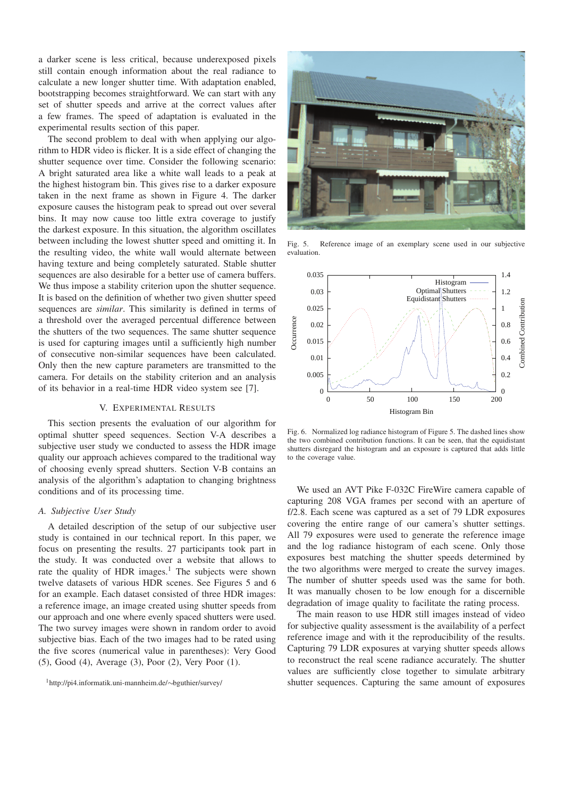a darker scene is less critical, because underexposed pixels still contain enough information about the real radiance to calculate a new longer shutter time. With adaptation enabled, bootstrapping becomes straightforward. We can start with any set of shutter speeds and arrive at the correct values after a few frames. The speed of adaptation is evaluated in the experimental results section of this paper.

The second problem to deal with when applying our algorithm to HDR video is flicker. It is a side effect of changing the shutter sequence over time. Consider the following scenario: A bright saturated area like a white wall leads to a peak at the highest histogram bin. This gives rise to a darker exposure taken in the next frame as shown in Figure 4. The darker exposure causes the histogram peak to spread out over several bins. It may now cause too little extra coverage to justify the darkest exposure. In this situation, the algorithm oscillates between including the lowest shutter speed and omitting it. In the resulting video, the white wall would alternate between having texture and being completely saturated. Stable shutter sequences are also desirable for a better use of camera buffers. We thus impose a stability criterion upon the shutter sequence. It is based on the definition of whether two given shutter speed sequences are *similar*. This similarity is defined in terms of a threshold over the averaged percentual difference between the shutters of the two sequences. The same shutter sequence is used for capturing images until a sufficiently high number of consecutive non-similar sequences have been calculated. Only then the new capture parameters are transmitted to the camera. For details on the stability criterion and an analysis of its behavior in a real-time HDR video system see [7].

### V. EXPERIMENTAL RESULTS

This section presents the evaluation of our algorithm for optimal shutter speed sequences. Section V-A describes a subjective user study we conducted to assess the HDR image quality our approach achieves compared to the traditional way of choosing evenly spread shutters. Section V-B contains an analysis of the algorithm's adaptation to changing brightness conditions and of its processing time.

# *A. Subjective User Study*

A detailed description of the setup of our subjective user study is contained in our technical report. In this paper, we focus on presenting the results. 27 participants took part in the study. It was conducted over a website that allows to rate the quality of HDR images.<sup>1</sup> The subjects were shown twelve datasets of various HDR scenes. See Figures 5 and 6 for an example. Each dataset consisted of three HDR images: a reference image, an image created using shutter speeds from our approach and one where evenly spaced shutters were used. The two survey images were shown in random order to avoid subjective bias. Each of the two images had to be rated using the five scores (numerical value in parentheses): Very Good (5), Good (4), Average (3), Poor (2), Very Poor (1).



Fig. 5. Reference image of an exemplary scene used in our subjective evaluation.



Fig. 6. Normalized log radiance histogram of Figure 5. The dashed lines show the two combined contribution functions. It can be seen, that the equidistant shutters disregard the histogram and an exposure is captured that adds little to the coverage value.

We used an AVT Pike F-032C FireWire camera capable of capturing 208 VGA frames per second with an aperture of f/2.8. Each scene was captured as a set of 79 LDR exposures covering the entire range of our camera's shutter settings. All 79 exposures were used to generate the reference image and the log radiance histogram of each scene. Only those exposures best matching the shutter speeds determined by the two algorithms were merged to create the survey images. The number of shutter speeds used was the same for both. It was manually chosen to be low enough for a discernible degradation of image quality to facilitate the rating process.

The main reason to use HDR still images instead of video for subjective quality assessment is the availability of a perfect reference image and with it the reproducibility of the results. Capturing 79 LDR exposures at varying shutter speeds allows to reconstruct the real scene radiance accurately. The shutter values are sufficiently close together to simulate arbitrary shutter sequences. Capturing the same amount of exposures

<sup>1</sup>http://pi4.informatik.uni-mannheim.de/∼bguthier/survey/